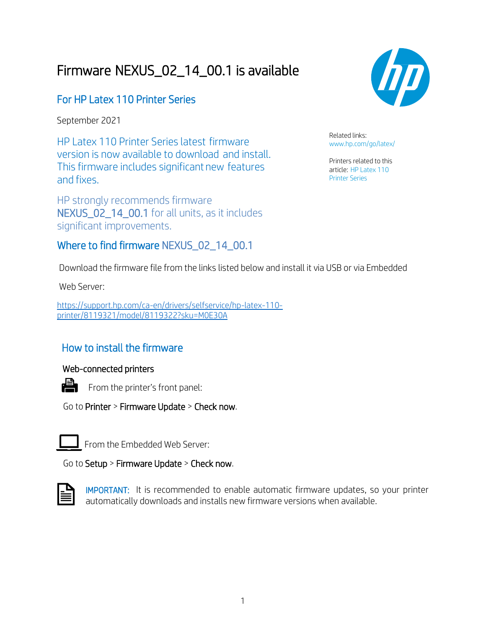# Firmware NEXUS\_02\_14\_00.1 is available

### For HP Latex 110 Printer Series

September 2021

HP Latex 110 Printer Series latest firmware version is now available to download and install. This firmware includes significant new features and fixes.

HP strongly recommends firmware NEXUS\_02\_14\_00.1 for all units, as it includes significant improvements.

#### Where to find firmware NEXUS\_02\_14\_00.1



Related links: [www.hp.com/go/latex/](http://www.hp.com/go/latex/)

Printers related to this article: HP Latex 110 Printer Series

Download the firmware file from the links listed below and install it via USB or via Embedded

Web Server:

[https://support.hp.com/ca-en/drivers/selfservice/hp-latex-110](https://support.hp.com/ca-en/drivers/selfservice/hp-latex-110-printer/8119321/model/8119322?sku=M0E30A) [printer/8119321/model/8119322?sku=M0E30A](https://support.hp.com/ca-en/drivers/selfservice/hp-latex-110-printer/8119321/model/8119322?sku=M0E30A)

## How to install the firmware

#### Web-connected printers



Fom the printer's front panel:

Go to Printer > Firmware Update > Check now.

From the Embedded Web Server:

Go to Setup > Firmware Update > Check now.



IMPORTANT: It is recommended to enable automatic firmware updates, so your printer automatically downloads and installs new firmware versions when available.